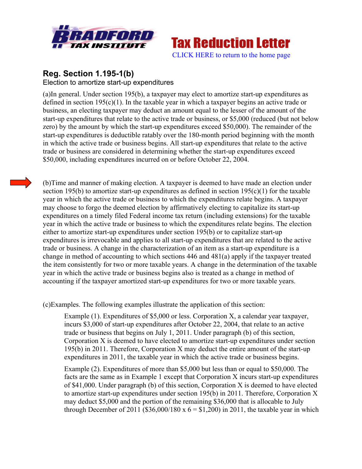



## **Reg. Section 1.195-1(b)** Election to amortize start-up expenditures

(a)In general. Under section 195(b), a taxpayer may elect to amortize start-up expenditures as defined in section 195(c)(1). In the taxable year in which a taxpayer begins an active trade or business, an electing taxpayer may deduct an amount equal to the lesser of the amount of the start-up expenditures that relate to the active trade or business, or \$5,000 (reduced (but not below zero) by the amount by which the start-up expenditures exceed \$50,000). The remainder of the start-up expenditures is deductible ratably over the 180-month period beginning with the month in which the active trade or business begins. All start-up expenditures that relate to the active trade or business are considered in determining whether the start-up expenditures exceed \$50,000, including expenditures incurred on or before October 22, 2004.

(b)Time and manner of making election. A taxpayer is deemed to have made an election under section 195(b) to amortize start-up expenditures as defined in section  $195(c)(1)$  for the taxable year in which the active trade or business to which the expenditures relate begins. A taxpayer may choose to forgo the deemed election by affirmatively electing to capitalize its start-up expenditures on a timely filed Federal income tax return (including extensions) for the taxable year in which the active trade or business to which the expenditures relate begins. The election either to amortize start-up expenditures under section 195(b) or to capitalize start-up expenditures is irrevocable and applies to all start-up expenditures that are related to the active trade or business. A change in the characterization of an item as a start-up expenditure is a change in method of accounting to which sections  $446$  and  $481(a)$  apply if the taxpayer treated the item consistently for two or more taxable years. A change in the determination of the taxable year in which the active trade or business begins also is treated as a change in method of accounting if the taxpayer amortized start-up expenditures for two or more taxable years.

(c)Examples. The following examples illustrate the application of this section:

Example (1). Expenditures of \$5,000 or less. Corporation X, a calendar year taxpayer, incurs \$3,000 of start-up expenditures after October 22, 2004, that relate to an active trade or business that begins on July 1, 2011. Under paragraph (b) of this section, Corporation X is deemed to have elected to amortize start-up expenditures under section 195(b) in 2011. Therefore, Corporation X may deduct the entire amount of the start-up expenditures in 2011, the taxable year in which the active trade or business begins.

Example (2). Expenditures of more than \$5,000 but less than or equal to \$50,000. The facts are the same as in Example 1 except that Corporation X incurs start-up expenditures of \$41,000. Under paragraph (b) of this section, Corporation X is deemed to have elected to amortize start-up expenditures under section 195(b) in 2011. Therefore, Corporation X may deduct \$5,000 and the portion of the remaining \$36,000 that is allocable to July through December of 2011 (\$36,000/180 x  $6 = $1,200$ ) in 2011, the taxable year in which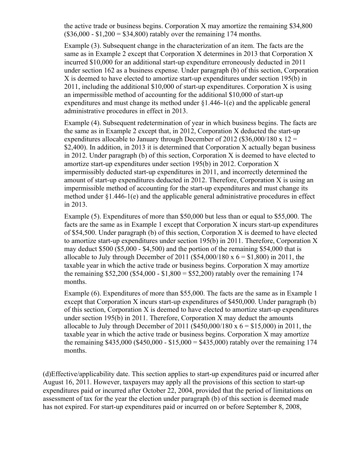the active trade or business begins. Corporation X may amortize the remaining \$34,800  $($36,000 - $1,200 = $34,800)$  ratably over the remaining 174 months.

Example (3). Subsequent change in the characterization of an item. The facts are the same as in Example 2 except that Corporation X determines in 2013 that Corporation X incurred \$10,000 for an additional start-up expenditure erroneously deducted in 2011 under section 162 as a business expense. Under paragraph (b) of this section, Corporation X is deemed to have elected to amortize start-up expenditures under section 195(b) in 2011, including the additional \$10,000 of start-up expenditures. Corporation X is using an impermissible method of accounting for the additional \$10,000 of start-up expenditures and must change its method under  $\S1.446-1$ (e) and the applicable general administrative procedures in effect in 2013.

Example (4). Subsequent redetermination of year in which business begins. The facts are the same as in Example 2 except that, in 2012, Corporation X deducted the start-up expenditures allocable to January through December of 2012 (\$36,000/180 x 12 = \$2,400). In addition, in 2013 it is determined that Corporation X actually began business in 2012. Under paragraph (b) of this section, Corporation X is deemed to have elected to amortize start-up expenditures under section 195(b) in 2012. Corporation X impermissibly deducted start-up expenditures in 2011, and incorrectly determined the amount of start-up expenditures deducted in 2012. Therefore, Corporation X is using an impermissible method of accounting for the start-up expenditures and must change its method under §1.446-1(e) and the applicable general administrative procedures in effect in 2013.

Example (5). Expenditures of more than \$50,000 but less than or equal to \$55,000. The facts are the same as in Example 1 except that Corporation X incurs start-up expenditures of \$54,500. Under paragraph (b) of this section, Corporation X is deemed to have elected to amortize start-up expenditures under section 195(b) in 2011. Therefore, Corporation X may deduct \$500 (\$5,000 - \$4,500) and the portion of the remaining \$54,000 that is allocable to July through December of 2011 (\$54,000/180 x  $6 = $1,800$ ) in 2011, the taxable year in which the active trade or business begins. Corporation X may amortize the remaining  $$52,200 ($54,000 - $1,800 = $52,200)$  ratably over the remaining 174 months.

Example (6). Expenditures of more than \$55,000. The facts are the same as in Example 1 except that Corporation X incurs start-up expenditures of \$450,000. Under paragraph (b) of this section, Corporation X is deemed to have elected to amortize start-up expenditures under section 195(b) in 2011. Therefore, Corporation X may deduct the amounts allocable to July through December of 2011 (\$450,000/180 x  $6 = $15,000$ ) in 2011, the taxable year in which the active trade or business begins. Corporation X may amortize the remaining  $$435,000$  ( $$450,000 - $15,000 = $435,000$ ) ratably over the remaining 174 months.

(d)Effective/applicability date. This section applies to start-up expenditures paid or incurred after August 16, 2011. However, taxpayers may apply all the provisions of this section to start-up expenditures paid or incurred after October 22, 2004, provided that the period of limitations on assessment of tax for the year the election under paragraph (b) of this section is deemed made has not expired. For start-up expenditures paid or incurred on or before September 8, 2008,